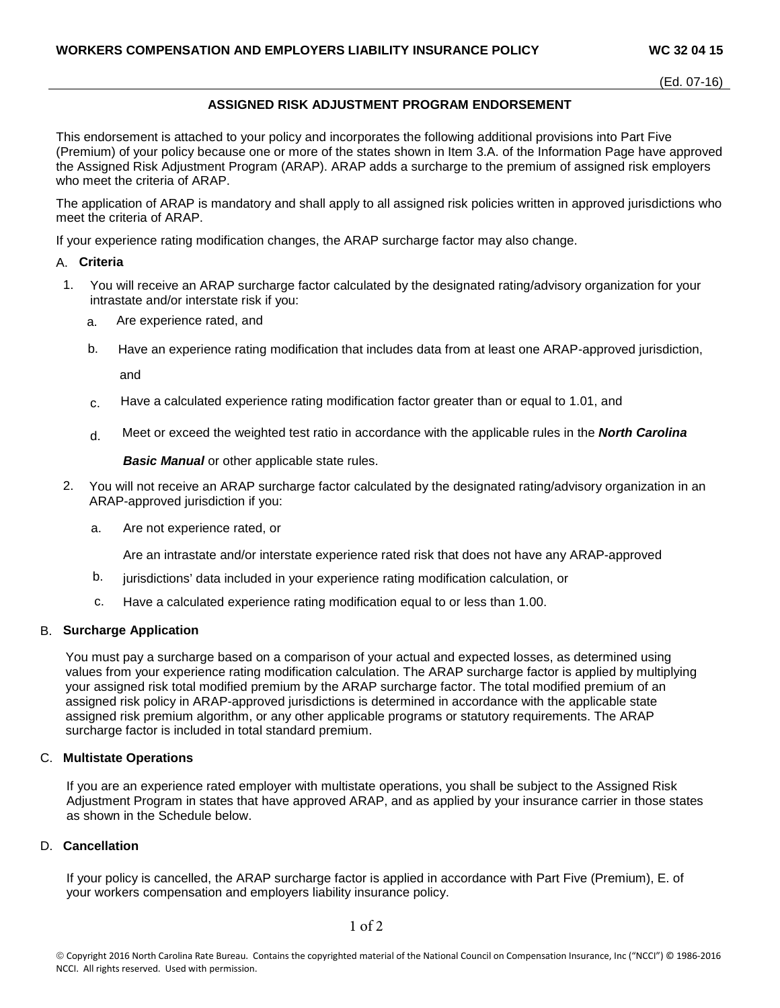# **ASSIGNED RISK ADJUSTMENT PROGRAM ENDORSEMENT**

This endorsement is attached to your policy and incorporates the following additional provisions into Part Five (Premium) of your policy because one or more of the states shown in Item 3.A. of the Information Page have approved the Assigned Risk Adjustment Program (ARAP). ARAP adds a surcharge to the premium of assigned risk employers who meet the criteria of ARAP.

The application of ARAP is mandatory and shall apply to all assigned risk policies written in approved jurisdictions who meet the criteria of ARAP.

If your experience rating modification changes, the ARAP surcharge factor may also change.

#### A. **Criteria**

- 1. You will receive an ARAP surcharge factor calculated by the designated rating/advisory organization for your intrastate and/or interstate risk if you:
	- a. Are experience rated, and
	- b. Have an experience rating modification that includes data from at least one ARAP-approved jurisdiction,

and

- $c<sub>c</sub>$  Have a calculated experience rating modification factor greater than or equal to 1.01, and
- d. Meet or exceed the weighted test ratio in accordance with the applicable rules in the *North Carolina*

*Basic Manual* or other applicable state rules.

- 2. You will not receive an ARAP surcharge factor calculated by the designated rating/advisory organization in an ARAP-approved jurisdiction if you:
	- a. Are not experience rated, or

Are an intrastate and/or interstate experience rated risk that does not have any ARAP-approved

- b. jurisdictions' data included in your experience rating modification calculation, or
- c. Have a calculated experience rating modification equal to or less than 1.00.

# B. **Surcharge Application**

You must pay a surcharge based on a comparison of your actual and expected losses, as determined using values from your experience rating modification calculation. The ARAP surcharge factor is applied by multiplying your assigned risk total modified premium by the ARAP surcharge factor. The total modified premium of an assigned risk policy in ARAP-approved jurisdictions is determined in accordance with the applicable state assigned risk premium algorithm, or any other applicable programs or statutory requirements. The ARAP surcharge factor is included in total standard premium.

### C. **Multistate Operations**

If you are an experience rated employer with multistate operations, you shall be subject to the Assigned Risk Adjustment Program in states that have approved ARAP, and as applied by your insurance carrier in those states as shown in the Schedule below.

#### D. **Cancellation**

If your policy is cancelled, the ARAP surcharge factor is applied in accordance with Part Five (Premium), E. of your workers compensation and employers liability insurance policy.